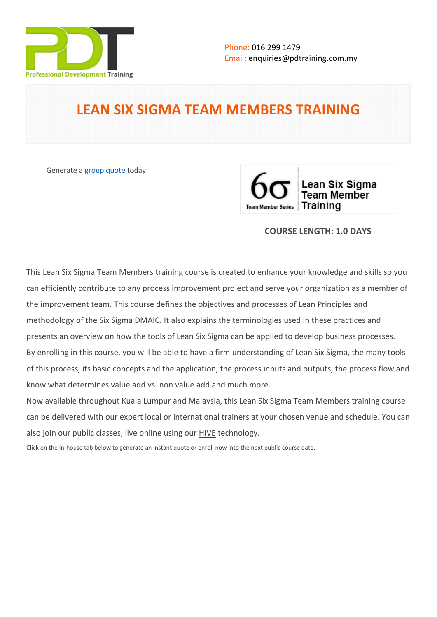

# **LEAN SIX SIGMA TEAM MEMBERS TRAINING**

Generate a [group quote](https://pdtraining.com.my/inhouse-training-quote?cse=PDT0168) today



## **COURSE LENGTH: 1.0 DAYS**

This Lean Six Sigma Team Members training course is created to enhance your knowledge and skills so you can efficiently contribute to any process improvement project and serve your organization as a member of the improvement team. This course defines the objectives and processes of Lean Principles and methodology of the Six Sigma DMAIC. It also explains the terminologies used in these practices and presents an overview on how the tools of Lean Six Sigma can be applied to develop business processes. By enrolling in this course, you will be able to have a firm understanding of Lean Six Sigma, the many tools of this process, its basic concepts and the application, the process inputs and outputs, the process flow and know what determines value add vs. non value add and much more.

Now available throughout Kuala Lumpur and Malaysia, this Lean Six Sigma Team Members training course can be delivered with our expert local or international trainers at your chosen venue and schedule. You can also join our public classes, live online using our HIVE technology.

Click on the In-house tab below to generate an instant quote or enroll now into the next public course date.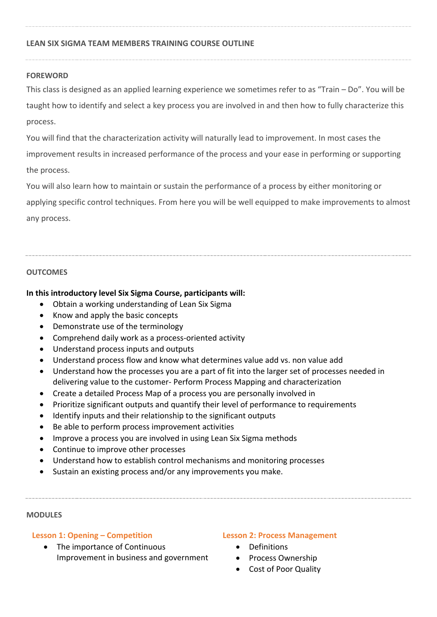## **LEAN SIX SIGMA TEAM MEMBERS TRAINING COURSE OUTLINE**

## **FOREWORD**

This class is designed as an applied learning experience we sometimes refer to as "Train – Do". You will be taught how to identify and select a key process you are involved in and then how to fully characterize this process.

You will find that the characterization activity will naturally lead to improvement. In most cases the improvement results in increased performance of the process and your ease in performing or supporting the process.

You will also learn how to maintain or sustain the performance of a process by either monitoring or applying specific control techniques. From here you will be well equipped to make improvements to almost any process.

## **OUTCOMES**

## **In this introductory level Six Sigma Course, participants will:**

- Obtain a working understanding of Lean Six Sigma
- Know and apply the basic concepts
- Demonstrate use of the terminology
- Comprehend daily work as a process-oriented activity
- Understand process inputs and outputs
- Understand process flow and know what determines value add vs. non value add
- Understand how the processes you are a part of fit into the larger set of processes needed in delivering value to the customer- Perform Process Mapping and characterization
- Create a detailed Process Map of a process you are personally involved in
- Prioritize significant outputs and quantify their level of performance to requirements
- Identify inputs and their relationship to the significant outputs
- Be able to perform process improvement activities
- Improve a process you are involved in using Lean Six Sigma methods
- Continue to improve other processes
- Understand how to establish control mechanisms and monitoring processes
- Sustain an existing process and/or any improvements you make.

#### **MODULES**

## **Lesson 1: Opening – Competition**

• The importance of Continuous Improvement in business and government

#### **Lesson 2: Process Management**

- Definitions
- Process Ownership
- Cost of Poor Quality